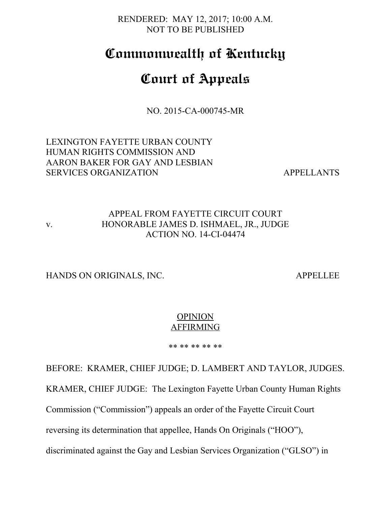RENDERED: MAY 12, 2017; 10:00 A.M. NOT TO BE PUBLISHED

# **Commonwealth of Kentucky**

# **Court of Appeals**

NO. 2015-CA-000745-MR

LEXINGTON FAYETTE URBAN COUNTY HUMAN RIGHTS COMMISSION AND AARON BAKER FOR GAY AND LESBIAN SERVICES ORGANIZATION APPELLANTS

## APPEAL FROM FAYETTE CIRCUIT COURT v. HONORABLE JAMES D. ISHMAEL, JR., JUDGE ACTION NO. 14-CI-04474

HANDS ON ORIGINALS, INC. APPELLEE

### **OPINION** AFFIRMING

\*\* \*\* \*\* \*\* \*\*

BEFORE: KRAMER, CHIEF JUDGE; D. LAMBERT AND TAYLOR, JUDGES. KRAMER, CHIEF JUDGE: The Lexington Fayette Urban County Human Rights Commission ("Commission") appeals an order of the Fayette Circuit Court reversing its determination that appellee, Hands On Originals ("HOO"), discriminated against the Gay and Lesbian Services Organization ("GLSO") in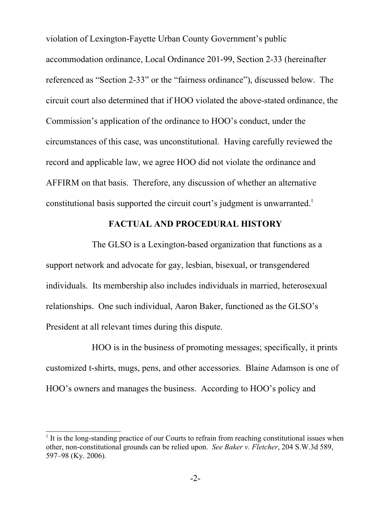violation of Lexington-Fayette Urban County Government's public accommodation ordinance, Local Ordinance 201-99, Section 2-33 (hereinafter referenced as "Section 2-33" or the "fairness ordinance"), discussed below. The circuit court also determined that if HOO violated the above-stated ordinance, the Commission's application of the ordinance to HOO's conduct, under the circumstances of this case, was unconstitutional. Having carefully reviewed the record and applicable law, we agree HOO did not violate the ordinance and AFFIRM on that basis. Therefore, any discussion of whether an alternative constitutional basis supported the circuit court's judgment is unwarranted.[1](#page-1-0)

#### **FACTUAL AND PROCEDURAL HISTORY**

The GLSO is a Lexington-based organization that functions as a support network and advocate for gay, lesbian, bisexual, or transgendered individuals. Its membership also includes individuals in married, heterosexual relationships. One such individual, Aaron Baker, functioned as the GLSO's President at all relevant times during this dispute.

HOO is in the business of promoting messages; specifically, it prints customized t-shirts, mugs, pens, and other accessories. Blaine Adamson is one of HOO's owners and manages the business. According to HOO's policy and

<span id="page-1-0"></span><sup>&</sup>lt;sup>1</sup> It is the long-standing practice of our Courts to refrain from reaching constitutional issues when other, non-constitutional grounds can be relied upon. *See Baker v. Fletcher*, 204 S.W.3d 589, 597–98 (Ky. 2006).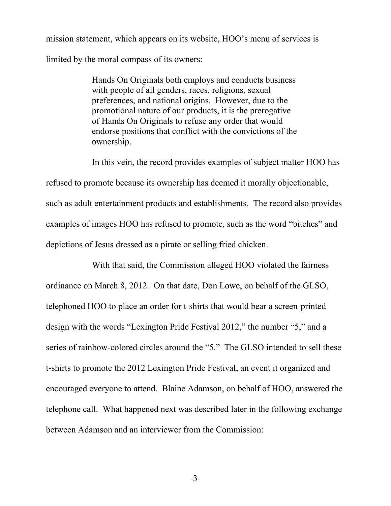mission statement, which appears on its website, HOO's menu of services is limited by the moral compass of its owners:

> Hands On Originals both employs and conducts business with people of all genders, races, religions, sexual preferences, and national origins. However, due to the promotional nature of our products, it is the prerogative of Hands On Originals to refuse any order that would endorse positions that conflict with the convictions of the ownership.

In this vein, the record provides examples of subject matter HOO has refused to promote because its ownership has deemed it morally objectionable, such as adult entertainment products and establishments. The record also provides examples of images HOO has refused to promote, such as the word "bitches" and depictions of Jesus dressed as a pirate or selling fried chicken.

With that said, the Commission alleged HOO violated the fairness ordinance on March 8, 2012. On that date, Don Lowe, on behalf of the GLSO, telephoned HOO to place an order for t-shirts that would bear a screen-printed design with the words "Lexington Pride Festival 2012," the number "5," and a series of rainbow-colored circles around the "5." The GLSO intended to sell these t-shirts to promote the 2012 Lexington Pride Festival, an event it organized and encouraged everyone to attend. Blaine Adamson, on behalf of HOO, answered the telephone call. What happened next was described later in the following exchange between Adamson and an interviewer from the Commission:

-3-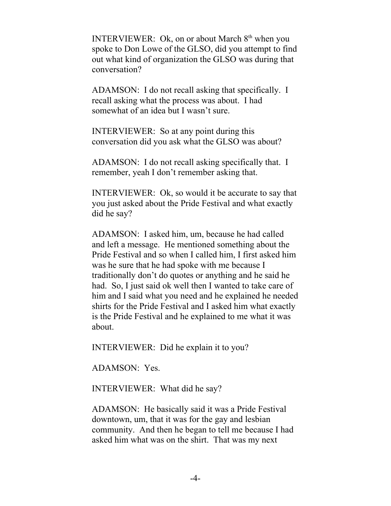INTERVIEWER: Ok, on or about March  $8<sup>th</sup>$  when you spoke to Don Lowe of the GLSO, did you attempt to find out what kind of organization the GLSO was during that conversation?

ADAMSON: I do not recall asking that specifically. I recall asking what the process was about. I had somewhat of an idea but I wasn't sure.

INTERVIEWER: So at any point during this conversation did you ask what the GLSO was about?

ADAMSON: I do not recall asking specifically that. I remember, yeah I don't remember asking that.

INTERVIEWER: Ok, so would it be accurate to say that you just asked about the Pride Festival and what exactly did he say?

ADAMSON: I asked him, um, because he had called and left a message. He mentioned something about the Pride Festival and so when I called him, I first asked him was he sure that he had spoke with me because I traditionally don't do quotes or anything and he said he had. So, I just said ok well then I wanted to take care of him and I said what you need and he explained he needed shirts for the Pride Festival and I asked him what exactly is the Pride Festival and he explained to me what it was about.

INTERVIEWER: Did he explain it to you?

ADAMSON: Yes.

INTERVIEWER: What did he say?

ADAMSON: He basically said it was a Pride Festival downtown, um, that it was for the gay and lesbian community. And then he began to tell me because I had asked him what was on the shirt. That was my next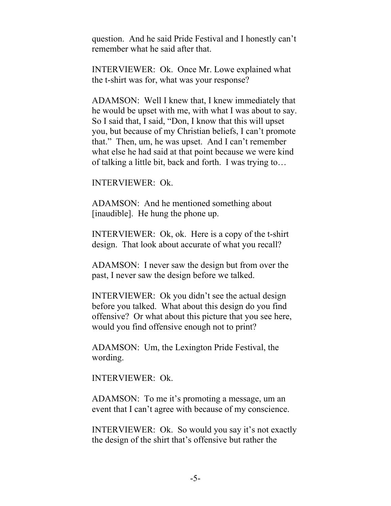question. And he said Pride Festival and I honestly can't remember what he said after that.

INTERVIEWER: Ok. Once Mr. Lowe explained what the t-shirt was for, what was your response?

ADAMSON: Well I knew that, I knew immediately that he would be upset with me, with what I was about to say. So I said that, I said, "Don, I know that this will upset you, but because of my Christian beliefs, I can't promote that." Then, um, he was upset. And I can't remember what else he had said at that point because we were kind of talking a little bit, back and forth. I was trying to…

INTERVIEWER: Ok.

ADAMSON: And he mentioned something about [inaudible]. He hung the phone up.

INTERVIEWER: Ok, ok. Here is a copy of the t-shirt design. That look about accurate of what you recall?

ADAMSON: I never saw the design but from over the past, I never saw the design before we talked.

INTERVIEWER: Ok you didn't see the actual design before you talked. What about this design do you find offensive? Or what about this picture that you see here, would you find offensive enough not to print?

ADAMSON: Um, the Lexington Pride Festival, the wording.

INTERVIEWER: Ok.

ADAMSON: To me it's promoting a message, um an event that I can't agree with because of my conscience.

INTERVIEWER: Ok. So would you say it's not exactly the design of the shirt that's offensive but rather the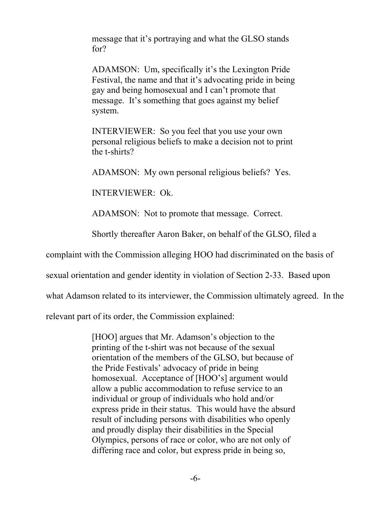message that it's portraying and what the GLSO stands for?

ADAMSON: Um, specifically it's the Lexington Pride Festival, the name and that it's advocating pride in being gay and being homosexual and I can't promote that message. It's something that goes against my belief system.

INTERVIEWER: So you feel that you use your own personal religious beliefs to make a decision not to print the t-shirts?

ADAMSON: My own personal religious beliefs? Yes.

INTERVIEWER: Ok.

ADAMSON: Not to promote that message. Correct.

Shortly thereafter Aaron Baker, on behalf of the GLSO, filed a

complaint with the Commission alleging HOO had discriminated on the basis of

sexual orientation and gender identity in violation of Section 2-33. Based upon

what Adamson related to its interviewer, the Commission ultimately agreed. In the

relevant part of its order, the Commission explained:

[HOO] argues that Mr. Adamson's objection to the printing of the t-shirt was not because of the sexual orientation of the members of the GLSO, but because of the Pride Festivals' advocacy of pride in being homosexual. Acceptance of [HOO's] argument would allow a public accommodation to refuse service to an individual or group of individuals who hold and/or express pride in their status. This would have the absurd result of including persons with disabilities who openly and proudly display their disabilities in the Special Olympics, persons of race or color, who are not only of differing race and color, but express pride in being so,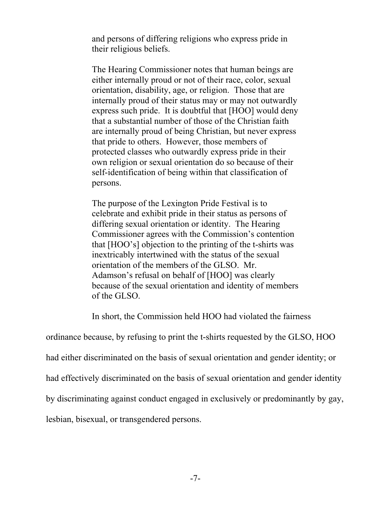and persons of differing religions who express pride in their religious beliefs.

The Hearing Commissioner notes that human beings are either internally proud or not of their race, color, sexual orientation, disability, age, or religion. Those that are internally proud of their status may or may not outwardly express such pride. It is doubtful that [HOO] would deny that a substantial number of those of the Christian faith are internally proud of being Christian, but never express that pride to others. However, those members of protected classes who outwardly express pride in their own religion or sexual orientation do so because of their self-identification of being within that classification of persons.

The purpose of the Lexington Pride Festival is to celebrate and exhibit pride in their status as persons of differing sexual orientation or identity. The Hearing Commissioner agrees with the Commission's contention that [HOO's] objection to the printing of the t-shirts was inextricably intertwined with the status of the sexual orientation of the members of the GLSO. Mr. Adamson's refusal on behalf of [HOO] was clearly because of the sexual orientation and identity of members of the GLSO.

In short, the Commission held HOO had violated the fairness

ordinance because, by refusing to print the t-shirts requested by the GLSO, HOO

had either discriminated on the basis of sexual orientation and gender identity; or

had effectively discriminated on the basis of sexual orientation and gender identity

by discriminating against conduct engaged in exclusively or predominantly by gay,

lesbian, bisexual, or transgendered persons.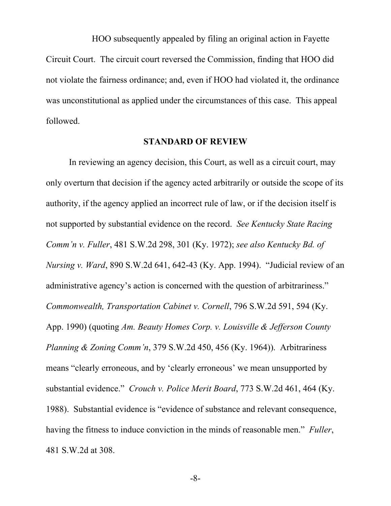HOO subsequently appealed by filing an original action in Fayette Circuit Court. The circuit court reversed the Commission, finding that HOO did not violate the fairness ordinance; and, even if HOO had violated it, the ordinance was unconstitutional as applied under the circumstances of this case. This appeal followed.

### **STANDARD OF REVIEW**

In reviewing an agency decision, this Court, as well as a circuit court, may only overturn that decision if the agency acted arbitrarily or outside the scope of its authority, if the agency applied an incorrect rule of law, or if the decision itself is not supported by substantial evidence on the record. *See Kentucky State Racing Comm'n v. Fuller*, 481 S.W.2d 298, 301 (Ky. 1972); *see also Kentucky Bd. of Nursing v. Ward*, 890 S.W.2d 641, 642-43 (Ky. App. 1994). "Judicial review of an administrative agency's action is concerned with the question of arbitrariness." *Commonwealth, Transportation Cabinet v. Cornell*, 796 S.W.2d 591, 594 (Ky. App. 1990) (quoting *Am. Beauty Homes Corp. v. Louisville & Jefferson County Planning & Zoning Comm'n*, 379 S.W.2d 450, 456 (Ky. 1964)). Arbitrariness means "clearly erroneous, and by 'clearly erroneous' we mean unsupported by substantial evidence." *Crouch v. Police Merit Board*, 773 S.W.2d 461, 464 (Ky. 1988). Substantial evidence is "evidence of substance and relevant consequence, having the fitness to induce conviction in the minds of reasonable men." *Fuller*, 481 S.W.2d at 308.

-8-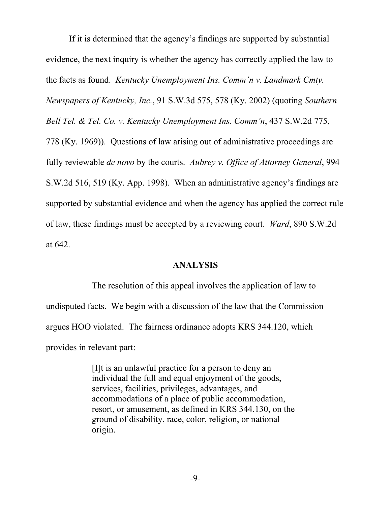If it is determined that the agency's findings are supported by substantial evidence, the next inquiry is whether the agency has correctly applied the law to the facts as found. *Kentucky Unemployment Ins. Comm'n v. Landmark Cmty. Newspapers of Kentucky, Inc.*, 91 S.W.3d 575, 578 (Ky. 2002) (quoting *Southern Bell Tel. & Tel. Co. v. Kentucky Unemployment Ins. Comm'n*, 437 S.W.2d 775, 778 (Ky. 1969)). Questions of law arising out of administrative proceedings are fully reviewable *de novo* by the courts. *Aubrey v. Office of Attorney General*, 994 S.W.2d 516, 519 (Ky. App. 1998). When an administrative agency's findings are supported by substantial evidence and when the agency has applied the correct rule of law, these findings must be accepted by a reviewing court. *Ward*, 890 S.W.2d at 642.

#### **ANALYSIS**

The resolution of this appeal involves the application of law to undisputed facts. We begin with a discussion of the law that the Commission argues HOO violated. The fairness ordinance adopts KRS 344.120, which provides in relevant part:

> [I]t is an unlawful practice for a person to deny an individual the full and equal enjoyment of the goods, services, facilities, privileges, advantages, and accommodations of a place of public accommodation, resort, or amusement, as defined in KRS 344.130, on the ground of disability, race, color, religion, or national origin.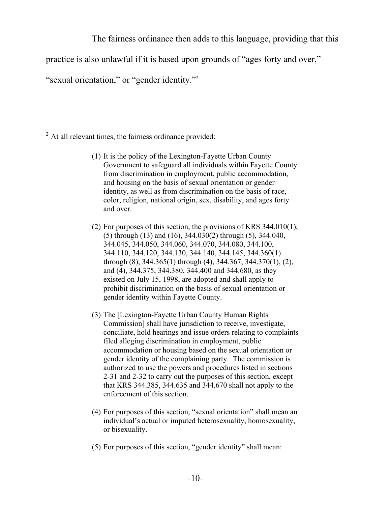The fairness ordinance then adds to this language, providing that this

practice is also unlawful if it is based upon grounds of "ages forty and over,"

"sexual orientation," or "gender identity."<sup>[2](#page-9-0)</sup>

- (1) It is the policy of the Lexington-Fayette Urban County Government to safeguard all individuals within Fayette County from discrimination in employment, public accommodation, and housing on the basis of sexual orientation or gender identity, as well as from discrimination on the basis of race, color, religion, national origin, sex, disability, and ages forty and over.
- (2) For purposes of this section, the provisions of KRS 344.010(1), (5) through (13) and (16), 344.030(2) through (5), 344.040, 344.045, 344.050, 344.060, 344.070, 344.080, 344.100, 344.110, 344.120, 344.130, 344.140, 344.145, 344.360(1) through (8), 344.365(1) through (4), 344.367, 344.370(1), (2), and (4), 344.375, 344.380, 344.400 and 344.680, as they existed on July 15, 1998, are adopted and shall apply to prohibit discrimination on the basis of sexual orientation or gender identity within Fayette County.
- (3) The [Lexington-Fayette Urban County Human Rights Commission] shall have jurisdiction to receive, investigate, conciliate, hold hearings and issue orders relating to complaints filed alleging discrimination in employment, public accommodation or housing based on the sexual orientation or gender identity of the complaining party. The commission is authorized to use the powers and procedures listed in sections 2-31 and 2-32 to carry out the purposes of this section, except that KRS 344.385, 344.635 and 344.670 shall not apply to the enforcement of this section.
- (4) For purposes of this section, "sexual orientation" shall mean an individual's actual or imputed heterosexuality, homosexuality, or bisexuality.
- (5) For purposes of this section, "gender identity" shall mean:

<span id="page-9-0"></span><sup>2</sup> At all relevant times, the fairness ordinance provided: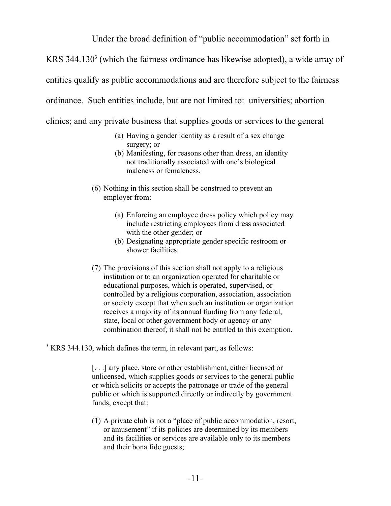Under the broad definition of "public accommodation" set forth in

KRS [3](#page-10-0)44.130 $3$  (which the fairness ordinance has likewise adopted), a wide array of

entities qualify as public accommodations and are therefore subject to the fairness

ordinance. Such entities include, but are not limited to: universities; abortion

clinics; and any private business that supplies goods or services to the general

- (a) Having a gender identity as a result of a sex change surgery; or
- (b) Manifesting, for reasons other than dress, an identity not traditionally associated with one's biological maleness or femaleness.
- (6) Nothing in this section shall be construed to prevent an employer from:
	- (a) Enforcing an employee dress policy which policy may include restricting employees from dress associated with the other gender; or
	- (b) Designating appropriate gender specific restroom or shower facilities.
- (7) The provisions of this section shall not apply to a religious institution or to an organization operated for charitable or educational purposes, which is operated, supervised, or controlled by a religious corporation, association, association or society except that when such an institution or organization receives a majority of its annual funding from any federal, state, local or other government body or agency or any combination thereof, it shall not be entitled to this exemption.

<span id="page-10-0"></span> $3$  KRS 344.130, which defines the term, in relevant part, as follows:

[. . .] any place, store or other establishment, either licensed or unlicensed, which supplies goods or services to the general public or which solicits or accepts the patronage or trade of the general public or which is supported directly or indirectly by government funds, except that:

(1) A private club is not a "place of public accommodation, resort, or amusement" if its policies are determined by its members and its facilities or services are available only to its members and their bona fide guests;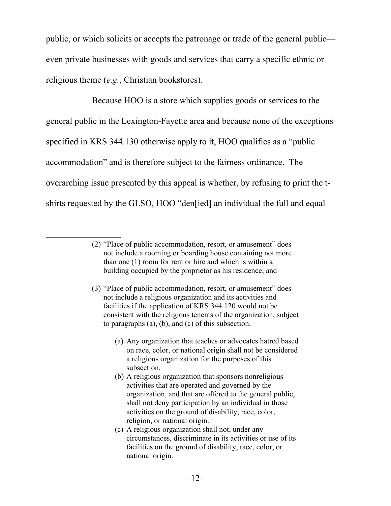public, or which solicits or accepts the patronage or trade of the general public even private businesses with goods and services that carry a specific ethnic or religious theme (*e.g.*, Christian bookstores).

Because HOO is a store which supplies goods or services to the general public in the Lexington-Fayette area and because none of the exceptions specified in KRS 344.130 otherwise apply to it, HOO qualifies as a "public accommodation" and is therefore subject to the fairness ordinance. The overarching issue presented by this appeal is whether, by refusing to print the tshirts requested by the GLSO, HOO "den[ied] an individual the full and equal

<sup>(2)</sup> "Place of public accommodation, resort, or amusement" does not include a rooming or boarding house containing not more than one (1) room for rent or hire and which is within a building occupied by the proprietor as his residence; and

<sup>(3)</sup> "Place of public accommodation, resort, or amusement" does not include a religious organization and its activities and facilities if the application of KRS 344.120 would not be consistent with the religious tenents of the organization, subject to paragraphs (a), (b), and (c) of this subsection.

<sup>(</sup>a) Any organization that teaches or advocates hatred based on race, color, or national origin shall not be considered a religious organization for the purposes of this subsection.

<sup>(</sup>b) A religious organization that sponsors nonreligious activities that are operated and governed by the organization, and that are offered to the general public, shall not deny participation by an individual in those activities on the ground of disability, race, color, religion, or national origin.

<sup>(</sup>c) A religious organization shall not, under any circumstances, discriminate in its activities or use of its facilities on the ground of disability, race, color, or national origin.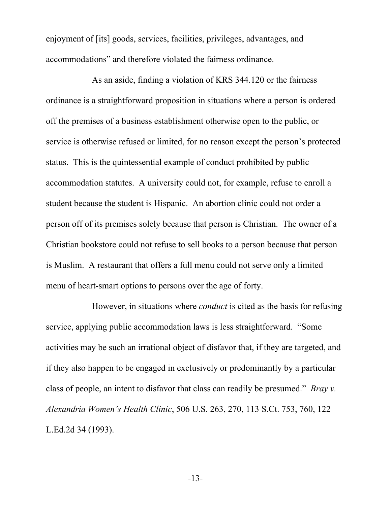enjoyment of [its] goods, services, facilities, privileges, advantages, and accommodations" and therefore violated the fairness ordinance.

As an aside, finding a violation of KRS 344.120 or the fairness ordinance is a straightforward proposition in situations where a person is ordered off the premises of a business establishment otherwise open to the public, or service is otherwise refused or limited, for no reason except the person's protected status. This is the quintessential example of conduct prohibited by public accommodation statutes. A university could not, for example, refuse to enroll a student because the student is Hispanic. An abortion clinic could not order a person off of its premises solely because that person is Christian. The owner of a Christian bookstore could not refuse to sell books to a person because that person is Muslim. A restaurant that offers a full menu could not serve only a limited menu of heart-smart options to persons over the age of forty.

However, in situations where *conduct* is cited as the basis for refusing service, applying public accommodation laws is less straightforward. "Some activities may be such an irrational object of disfavor that, if they are targeted, and if they also happen to be engaged in exclusively or predominantly by a particular class of people, an intent to disfavor that class can readily be presumed." *Bray v. Alexandria Women's Health Clinic*, 506 U.S. 263, 270, 113 S.Ct. 753, 760, 122 L.Ed.2d 34 (1993).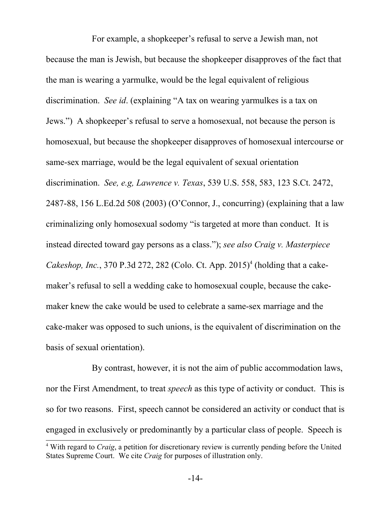For example, a shopkeeper's refusal to serve a Jewish man, not because the man is Jewish, but because the shopkeeper disapproves of the fact that the man is wearing a yarmulke, would be the legal equivalent of religious discrimination. *See id*. (explaining "A tax on wearing yarmulkes is a tax on Jews.") A shopkeeper's refusal to serve a homosexual, not because the person is homosexual, but because the shopkeeper disapproves of homosexual intercourse or same-sex marriage, would be the legal equivalent of sexual orientation discrimination. *See, e.g, Lawrence v. Texas*, 539 U.S. 558, 583, 123 S.Ct. 2472, 2487-88, 156 L.Ed.2d 508 (2003) (O'Connor, J., concurring) (explaining that a law criminalizing only homosexual sodomy "is targeted at more than conduct. It is instead directed toward gay persons as a class."); *see also Craig v. Masterpiece* Cakeshop, Inc., 370 P.3d 272, 282 (Colo. Ct. App. 2015)<sup>[4](#page-13-0)</sup> (holding that a cakemaker's refusal to sell a wedding cake to homosexual couple, because the cakemaker knew the cake would be used to celebrate a same-sex marriage and the cake-maker was opposed to such unions, is the equivalent of discrimination on the basis of sexual orientation).

By contrast, however, it is not the aim of public accommodation laws, nor the First Amendment, to treat *speech* as this type of activity or conduct. This is so for two reasons. First, speech cannot be considered an activity or conduct that is engaged in exclusively or predominantly by a particular class of people. Speech is

<span id="page-13-0"></span><sup>4</sup> With regard to *Craig*, a petition for discretionary review is currently pending before the United States Supreme Court. We cite *Craig* for purposes of illustration only.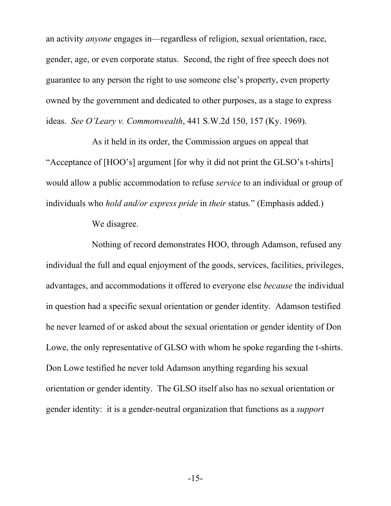an activity *anyone* engages in—regardless of religion, sexual orientation, race, gender, age, or even corporate status. Second, the right of free speech does not guarantee to any person the right to use someone else's property, even property owned by the government and dedicated to other purposes, as a stage to express ideas. *See O'Leary v. Commonwealth*, 441 S.W.2d 150, 157 (Ky. 1969).

As it held in its order, the Commission argues on appeal that "Acceptance of [HOO's] argument [for why it did not print the GLSO's t-shirts] would allow a public accommodation to refuse *service* to an individual or group of individuals who *hold and/or express pride* in *their* status." (Emphasis added.)

We disagree.

Nothing of record demonstrates HOO, through Adamson, refused any individual the full and equal enjoyment of the goods, services, facilities, privileges, advantages, and accommodations it offered to everyone else *because* the individual in question had a specific sexual orientation or gender identity. Adamson testified he never learned of or asked about the sexual orientation or gender identity of Don Lowe, the only representative of GLSO with whom he spoke regarding the t-shirts. Don Lowe testified he never told Adamson anything regarding his sexual orientation or gender identity. The GLSO itself also has no sexual orientation or gender identity: it is a gender-neutral organization that functions as a *support*

-15-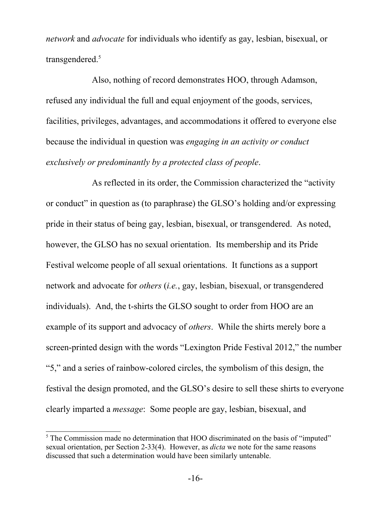*network* and *advocate* for individuals who identify as gay, lesbian, bisexual, or transgendered.<sup>[5](#page-15-0)</sup>

Also, nothing of record demonstrates HOO, through Adamson, refused any individual the full and equal enjoyment of the goods, services, facilities, privileges, advantages, and accommodations it offered to everyone else because the individual in question was *engaging in an activity or conduct exclusively or predominantly by a protected class of people*.

As reflected in its order, the Commission characterized the "activity or conduct" in question as (to paraphrase) the GLSO's holding and/or expressing pride in their status of being gay, lesbian, bisexual, or transgendered. As noted, however, the GLSO has no sexual orientation. Its membership and its Pride Festival welcome people of all sexual orientations. It functions as a support network and advocate for *others* (*i.e.*, gay, lesbian, bisexual, or transgendered individuals). And, the t-shirts the GLSO sought to order from HOO are an example of its support and advocacy of *others*. While the shirts merely bore a screen-printed design with the words "Lexington Pride Festival 2012," the number "5," and a series of rainbow-colored circles, the symbolism of this design, the festival the design promoted, and the GLSO's desire to sell these shirts to everyone clearly imparted a *message*: Some people are gay, lesbian, bisexual, and

<span id="page-15-0"></span><sup>&</sup>lt;sup>5</sup> The Commission made no determination that HOO discriminated on the basis of "imputed" sexual orientation, per Section 2-33(4). However, as *dicta* we note for the same reasons discussed that such a determination would have been similarly untenable.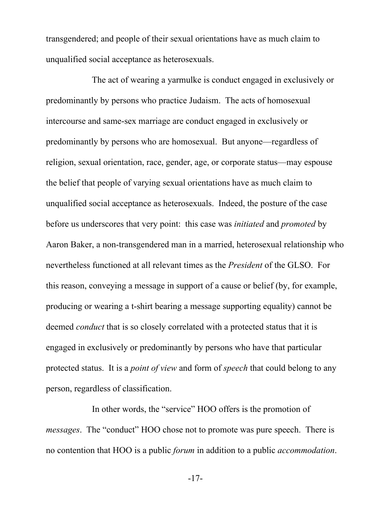transgendered; and people of their sexual orientations have as much claim to unqualified social acceptance as heterosexuals.

The act of wearing a yarmulke is conduct engaged in exclusively or predominantly by persons who practice Judaism. The acts of homosexual intercourse and same-sex marriage are conduct engaged in exclusively or predominantly by persons who are homosexual. But anyone—regardless of religion, sexual orientation, race, gender, age, or corporate status—may espouse the belief that people of varying sexual orientations have as much claim to unqualified social acceptance as heterosexuals. Indeed, the posture of the case before us underscores that very point: this case was *initiated* and *promoted* by Aaron Baker, a non-transgendered man in a married, heterosexual relationship who nevertheless functioned at all relevant times as the *President* of the GLSO. For this reason, conveying a message in support of a cause or belief (by, for example, producing or wearing a t-shirt bearing a message supporting equality) cannot be deemed *conduct* that is so closely correlated with a protected status that it is engaged in exclusively or predominantly by persons who have that particular protected status. It is a *point of view* and form of *speech* that could belong to any person, regardless of classification.

In other words, the "service" HOO offers is the promotion of *messages*. The "conduct" HOO chose not to promote was pure speech. There is no contention that HOO is a public *forum* in addition to a public *accommodation*.

-17-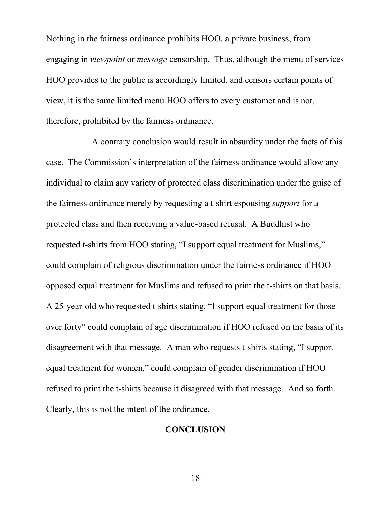Nothing in the fairness ordinance prohibits HOO, a private business, from engaging in *viewpoint* or *message* censorship. Thus, although the menu of services HOO provides to the public is accordingly limited, and censors certain points of view, it is the same limited menu HOO offers to every customer and is not, therefore, prohibited by the fairness ordinance.

A contrary conclusion would result in absurdity under the facts of this case. The Commission's interpretation of the fairness ordinance would allow any individual to claim any variety of protected class discrimination under the guise of the fairness ordinance merely by requesting a t-shirt espousing *support* for a protected class and then receiving a value-based refusal. A Buddhist who requested t-shirts from HOO stating, "I support equal treatment for Muslims," could complain of religious discrimination under the fairness ordinance if HOO opposed equal treatment for Muslims and refused to print the t-shirts on that basis. A 25-year-old who requested t-shirts stating, "I support equal treatment for those over forty" could complain of age discrimination if HOO refused on the basis of its disagreement with that message. A man who requests t-shirts stating, "I support equal treatment for women," could complain of gender discrimination if HOO refused to print the t-shirts because it disagreed with that message. And so forth. Clearly, this is not the intent of the ordinance.

## **CONCLUSION**

-18-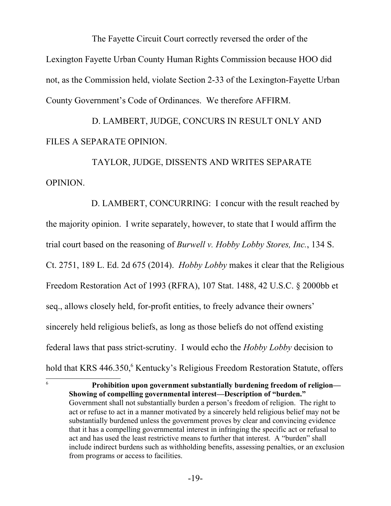The Fayette Circuit Court correctly reversed the order of the Lexington Fayette Urban County Human Rights Commission because HOO did not, as the Commission held, violate Section 2-33 of the Lexington-Fayette Urban County Government's Code of Ordinances. We therefore AFFIRM.

D. LAMBERT, JUDGE, CONCURS IN RESULT ONLY AND FILES A SEPARATE OPINION.

TAYLOR, JUDGE, DISSENTS AND WRITES SEPARATE OPINION.

 D. LAMBERT, CONCURRING: I concur with the result reached by the majority opinion. I write separately, however, to state that I would affirm the trial court based on the reasoning of *Burwell v. Hobby Lobby Stores, Inc.*, 134 S. Ct. 2751, 189 L. Ed. 2d 675 (2014). *Hobby Lobby* makes it clear that the Religious Freedom Restoration Act of 1993 (RFRA), 107 Stat. 1488, 42 U.S.C. § 2000bb et seq., allows closely held, for-profit entities, to freely advance their owners' sincerely held religious beliefs, as long as those beliefs do not offend existing federal laws that pass strict-scrutiny. I would echo the *Hobby Lobby* decision to hold that KRS 44[6](#page-18-0).350,<sup>6</sup> Kentucky's Religious Freedom Restoration Statute, offers

<span id="page-18-0"></span><sup>6</sup> **Prohibition upon government substantially burdening freedom of religion— Showing of compelling governmental interest—Description of "burden."** Government shall not substantially burden a person's freedom of religion. The right to act or refuse to act in a manner motivated by a sincerely held religious belief may not be substantially burdened unless the government proves by clear and convincing evidence that it has a compelling governmental interest in infringing the specific act or refusal to act and has used the least restrictive means to further that interest. A "burden" shall include indirect burdens such as withholding benefits, assessing penalties, or an exclusion from programs or access to facilities.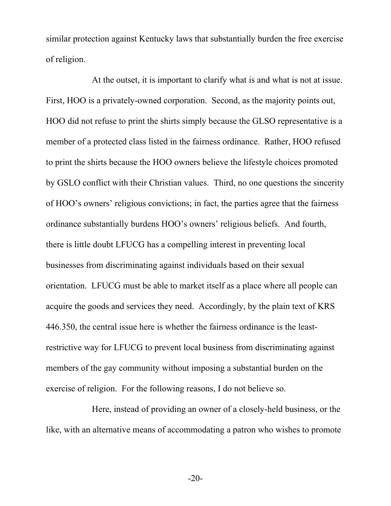similar protection against Kentucky laws that substantially burden the free exercise of religion.

At the outset, it is important to clarify what is and what is not at issue. First, HOO is a privately-owned corporation. Second, as the majority points out, HOO did not refuse to print the shirts simply because the GLSO representative is a member of a protected class listed in the fairness ordinance. Rather, HOO refused to print the shirts because the HOO owners believe the lifestyle choices promoted by GSLO conflict with their Christian values. Third, no one questions the sincerity of HOO's owners' religious convictions; in fact, the parties agree that the fairness ordinance substantially burdens HOO's owners' religious beliefs. And fourth, there is little doubt LFUCG has a compelling interest in preventing local businesses from discriminating against individuals based on their sexual orientation. LFUCG must be able to market itself as a place where all people can acquire the goods and services they need. Accordingly, by the plain text of KRS 446.350, the central issue here is whether the fairness ordinance is the leastrestrictive way for LFUCG to prevent local business from discriminating against members of the gay community without imposing a substantial burden on the exercise of religion. For the following reasons, I do not believe so.

Here, instead of providing an owner of a closely-held business, or the like, with an alternative means of accommodating a patron who wishes to promote

-20-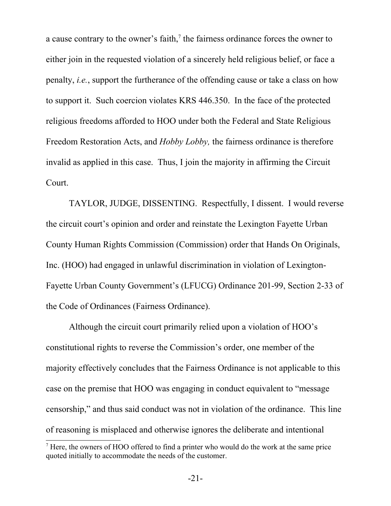a cause contrary to the owner's faith, $\lambda$  the fairness ordinance forces the owner to either join in the requested violation of a sincerely held religious belief, or face a penalty, *i.e.*, support the furtherance of the offending cause or take a class on how to support it. Such coercion violates KRS 446.350. In the face of the protected religious freedoms afforded to HOO under both the Federal and State Religious Freedom Restoration Acts, and *Hobby Lobby,* the fairness ordinance is therefore invalid as applied in this case. Thus, I join the majority in affirming the Circuit Court.

TAYLOR, JUDGE, DISSENTING. Respectfully, I dissent. I would reverse the circuit court's opinion and order and reinstate the Lexington Fayette Urban County Human Rights Commission (Commission) order that Hands On Originals, Inc. (HOO) had engaged in unlawful discrimination in violation of Lexington-Fayette Urban County Government's (LFUCG) Ordinance 201-99, Section 2-33 of the Code of Ordinances (Fairness Ordinance).

Although the circuit court primarily relied upon a violation of HOO's constitutional rights to reverse the Commission's order, one member of the majority effectively concludes that the Fairness Ordinance is not applicable to this case on the premise that HOO was engaging in conduct equivalent to "message censorship," and thus said conduct was not in violation of the ordinance. This line of reasoning is misplaced and otherwise ignores the deliberate and intentional

<span id="page-20-0"></span><sup>7</sup> Here, the owners of HOO offered to find a printer who would do the work at the same price quoted initially to accommodate the needs of the customer.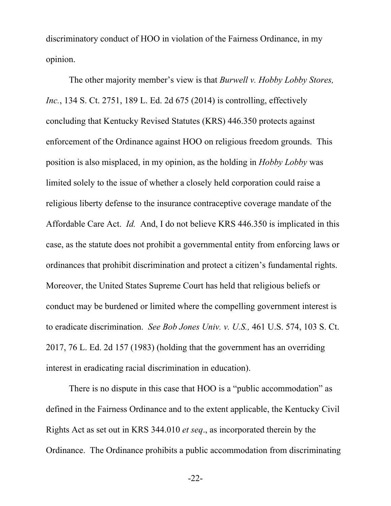discriminatory conduct of HOO in violation of the Fairness Ordinance, in my opinion.

The other majority member's view is that *Burwell v. Hobby Lobby Stores, Inc.*, 134 S. Ct. 2751, 189 L. Ed. 2d 675 (2014) is controlling, effectively concluding that Kentucky Revised Statutes (KRS) 446.350 protects against enforcement of the Ordinance against HOO on religious freedom grounds. This position is also misplaced, in my opinion, as the holding in *Hobby Lobby* was limited solely to the issue of whether a closely held corporation could raise a religious liberty defense to the insurance contraceptive coverage mandate of the Affordable Care Act. *Id.* And, I do not believe KRS 446.350 is implicated in this case, as the statute does not prohibit a governmental entity from enforcing laws or ordinances that prohibit discrimination and protect a citizen's fundamental rights. Moreover, the United States Supreme Court has held that religious beliefs or conduct may be burdened or limited where the compelling government interest is to eradicate discrimination. *See Bob Jones Univ. v. U.S.,* 461 U.S. 574, 103 S. Ct. 2017, 76 L. Ed. 2d 157 (1983) (holding that the government has an overriding interest in eradicating racial discrimination in education).

There is no dispute in this case that HOO is a "public accommodation" as defined in the Fairness Ordinance and to the extent applicable, the Kentucky Civil Rights Act as set out in KRS 344.010 *et seq*., as incorporated therein by the Ordinance. The Ordinance prohibits a public accommodation from discriminating

-22-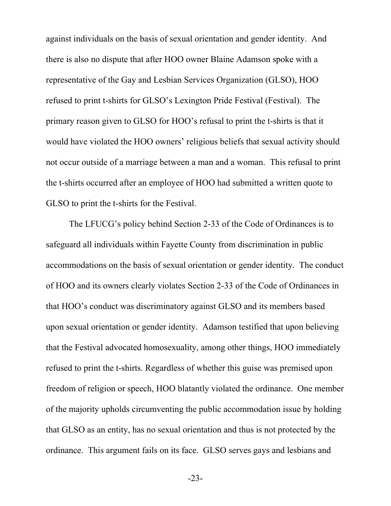against individuals on the basis of sexual orientation and gender identity. And there is also no dispute that after HOO owner Blaine Adamson spoke with a representative of the Gay and Lesbian Services Organization (GLSO), HOO refused to print t-shirts for GLSO's Lexington Pride Festival (Festival). The primary reason given to GLSO for HOO's refusal to print the t-shirts is that it would have violated the HOO owners' religious beliefs that sexual activity should not occur outside of a marriage between a man and a woman. This refusal to print the t-shirts occurred after an employee of HOO had submitted a written quote to GLSO to print the t-shirts for the Festival.

The LFUCG's policy behind Section 2-33 of the Code of Ordinances is to safeguard all individuals within Fayette County from discrimination in public accommodations on the basis of sexual orientation or gender identity. The conduct of HOO and its owners clearly violates Section 2-33 of the Code of Ordinances in that HOO's conduct was discriminatory against GLSO and its members based upon sexual orientation or gender identity. Adamson testified that upon believing that the Festival advocated homosexuality, among other things, HOO immediately refused to print the t-shirts. Regardless of whether this guise was premised upon freedom of religion or speech, HOO blatantly violated the ordinance. One member of the majority upholds circumventing the public accommodation issue by holding that GLSO as an entity, has no sexual orientation and thus is not protected by the ordinance. This argument fails on its face. GLSO serves gays and lesbians and

-23-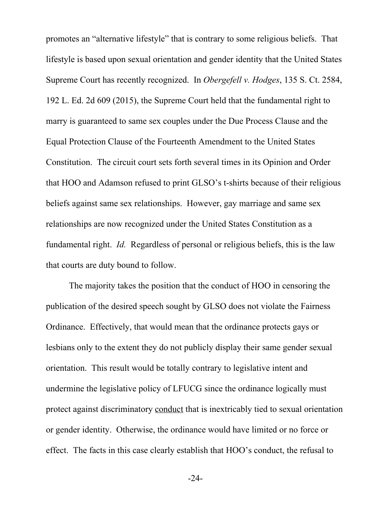promotes an "alternative lifestyle" that is contrary to some religious beliefs. That lifestyle is based upon sexual orientation and gender identity that the United States Supreme Court has recently recognized. In *Obergefell v. Hodges*, 135 S. Ct. 2584, 192 L. Ed. 2d 609 (2015), the Supreme Court held that the fundamental right to marry is guaranteed to same sex couples under the Due Process Clause and the Equal Protection Clause of the Fourteenth Amendment to the United States Constitution. The circuit court sets forth several times in its Opinion and Order that HOO and Adamson refused to print GLSO's t-shirts because of their religious beliefs against same sex relationships. However, gay marriage and same sex relationships are now recognized under the United States Constitution as a fundamental right. *Id.* Regardless of personal or religious beliefs, this is the law that courts are duty bound to follow.

The majority takes the position that the conduct of HOO in censoring the publication of the desired speech sought by GLSO does not violate the Fairness Ordinance. Effectively, that would mean that the ordinance protects gays or lesbians only to the extent they do not publicly display their same gender sexual orientation. This result would be totally contrary to legislative intent and undermine the legislative policy of LFUCG since the ordinance logically must protect against discriminatory conduct that is inextricably tied to sexual orientation or gender identity. Otherwise, the ordinance would have limited or no force or effect. The facts in this case clearly establish that HOO's conduct, the refusal to

-24-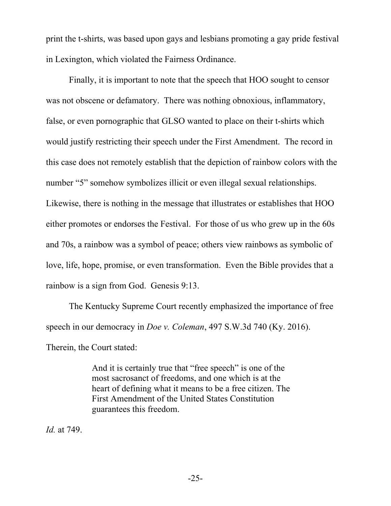print the t-shirts, was based upon gays and lesbians promoting a gay pride festival in Lexington, which violated the Fairness Ordinance.

Finally, it is important to note that the speech that HOO sought to censor was not obscene or defamatory. There was nothing obnoxious, inflammatory, false, or even pornographic that GLSO wanted to place on their t-shirts which would justify restricting their speech under the First Amendment. The record in this case does not remotely establish that the depiction of rainbow colors with the number "5" somehow symbolizes illicit or even illegal sexual relationships. Likewise, there is nothing in the message that illustrates or establishes that HOO either promotes or endorses the Festival. For those of us who grew up in the 60s and 70s, a rainbow was a symbol of peace; others view rainbows as symbolic of love, life, hope, promise, or even transformation. Even the Bible provides that a rainbow is a sign from God. Genesis 9:13.

The Kentucky Supreme Court recently emphasized the importance of free speech in our democracy in *Doe v. Coleman*, 497 S.W.3d 740 (Ky. 2016).

Therein, the Court stated:

And it is certainly true that "free speech" is one of the most sacrosanct of freedoms, and one which is at the heart of defining what it means to be a free citizen. The First Amendment of the United States Constitution guarantees this freedom.

*Id.* at 749.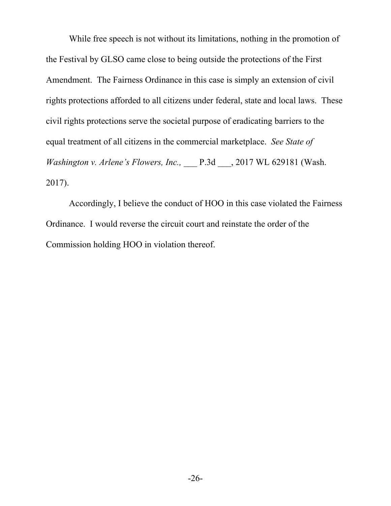While free speech is not without its limitations, nothing in the promotion of the Festival by GLSO came close to being outside the protections of the First Amendment. The Fairness Ordinance in this case is simply an extension of civil rights protections afforded to all citizens under federal, state and local laws. These civil rights protections serve the societal purpose of eradicating barriers to the equal treatment of all citizens in the commercial marketplace. *See State of Washington v. Arlene's Flowers, Inc.,* \_\_\_ P.3d \_\_\_, 2017 WL 629181 (Wash. 2017).

Accordingly, I believe the conduct of HOO in this case violated the Fairness Ordinance. I would reverse the circuit court and reinstate the order of the Commission holding HOO in violation thereof.